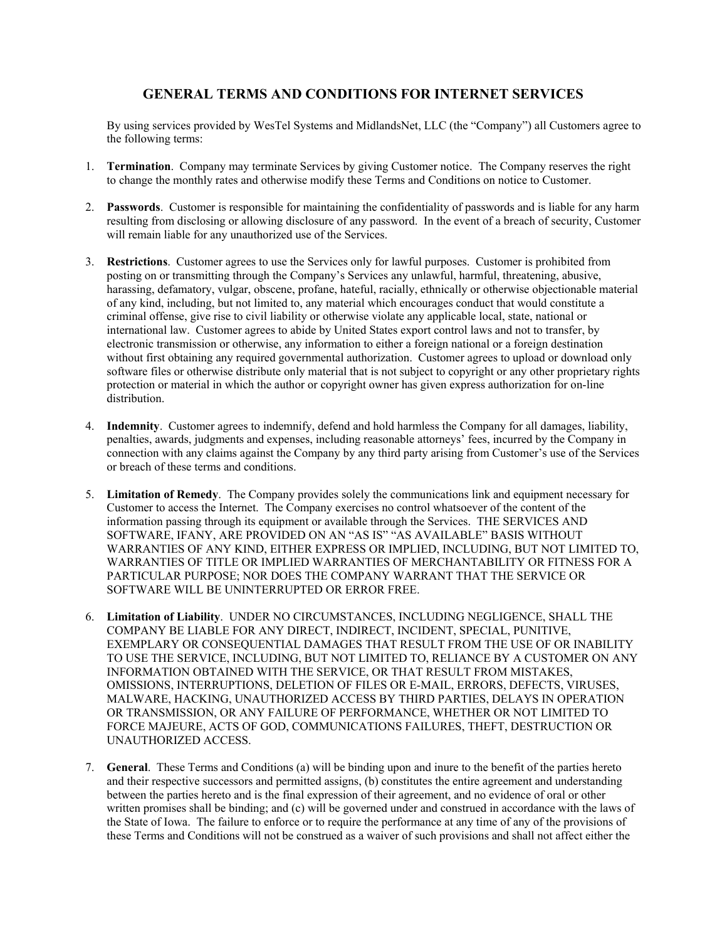## **GENERAL TERMS AND CONDITIONS FOR INTERNET SERVICES**

By using services provided by WesTel Systems and MidlandsNet, LLC (the "Company") all Customers agree to the following terms:

- 1. **Termination**. Company may terminate Services by giving Customer notice. The Company reserves the right to change the monthly rates and otherwise modify these Terms and Conditions on notice to Customer.
- 2. **Passwords**. Customer is responsible for maintaining the confidentiality of passwords and is liable for any harm resulting from disclosing or allowing disclosure of any password. In the event of a breach of security, Customer will remain liable for any unauthorized use of the Services.
- 3. **Restrictions**. Customer agrees to use the Services only for lawful purposes. Customer is prohibited from posting on or transmitting through the Company's Services any unlawful, harmful, threatening, abusive, harassing, defamatory, vulgar, obscene, profane, hateful, racially, ethnically or otherwise objectionable material of any kind, including, but not limited to, any material which encourages conduct that would constitute a criminal offense, give rise to civil liability or otherwise violate any applicable local, state, national or international law. Customer agrees to abide by United States export control laws and not to transfer, by electronic transmission or otherwise, any information to either a foreign national or a foreign destination without first obtaining any required governmental authorization. Customer agrees to upload or download only software files or otherwise distribute only material that is not subject to copyright or any other proprietary rights protection or material in which the author or copyright owner has given express authorization for on-line distribution.
- 4. **Indemnity**. Customer agrees to indemnify, defend and hold harmless the Company for all damages, liability, penalties, awards, judgments and expenses, including reasonable attorneys' fees, incurred by the Company in connection with any claims against the Company by any third party arising from Customer's use of the Services or breach of these terms and conditions.
- 5. **Limitation of Remedy**. The Company provides solely the communications link and equipment necessary for Customer to access the Internet. The Company exercises no control whatsoever of the content of the information passing through its equipment or available through the Services. THE SERVICES AND SOFTWARE, IFANY, ARE PROVIDED ON AN "AS IS" "AS AVAILABLE" BASIS WITHOUT WARRANTIES OF ANY KIND, EITHER EXPRESS OR IMPLIED, INCLUDING, BUT NOT LIMITED TO, WARRANTIES OF TITLE OR IMPLIED WARRANTIES OF MERCHANTABILITY OR FITNESS FOR A PARTICULAR PURPOSE; NOR DOES THE COMPANY WARRANT THAT THE SERVICE OR SOFTWARE WILL BE UNINTERRUPTED OR ERROR FREE.
- 6. **Limitation of Liability**. UNDER NO CIRCUMSTANCES, INCLUDING NEGLIGENCE, SHALL THE COMPANY BE LIABLE FOR ANY DIRECT, INDIRECT, INCIDENT, SPECIAL, PUNITIVE, EXEMPLARY OR CONSEQUENTIAL DAMAGES THAT RESULT FROM THE USE OF OR INABILITY TO USE THE SERVICE, INCLUDING, BUT NOT LIMITED TO, RELIANCE BY A CUSTOMER ON ANY INFORMATION OBTAINED WITH THE SERVICE, OR THAT RESULT FROM MISTAKES, OMISSIONS, INTERRUPTIONS, DELETION OF FILES OR E-MAIL, ERRORS, DEFECTS, VIRUSES, MALWARE, HACKING, UNAUTHORIZED ACCESS BY THIRD PARTIES, DELAYS IN OPERATION OR TRANSMISSION, OR ANY FAILURE OF PERFORMANCE, WHETHER OR NOT LIMITED TO FORCE MAJEURE, ACTS OF GOD, COMMUNICATIONS FAILURES, THEFT, DESTRUCTION OR UNAUTHORIZED ACCESS.
- 7. **General**. These Terms and Conditions (a) will be binding upon and inure to the benefit of the parties hereto and their respective successors and permitted assigns, (b) constitutes the entire agreement and understanding between the parties hereto and is the final expression of their agreement, and no evidence of oral or other written promises shall be binding; and (c) will be governed under and construed in accordance with the laws of the State of Iowa. The failure to enforce or to require the performance at any time of any of the provisions of these Terms and Conditions will not be construed as a waiver of such provisions and shall not affect either the